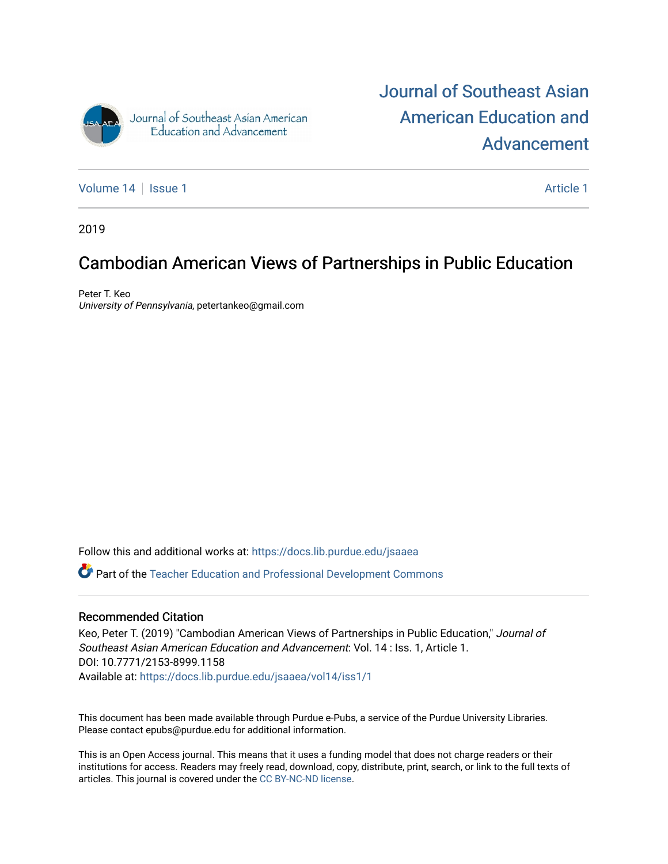

[Journal of Southeast Asian](https://docs.lib.purdue.edu/jsaaea)  [American Education and](https://docs.lib.purdue.edu/jsaaea)  [Advancement](https://docs.lib.purdue.edu/jsaaea) 

[Volume 14](https://docs.lib.purdue.edu/jsaaea/vol14) | [Issue 1](https://docs.lib.purdue.edu/jsaaea/vol14/iss1) Article 1

2019

# Cambodian American Views of Partnerships in Public Education

Peter T. Keo University of Pennsylvania, petertankeo@gmail.com

Follow this and additional works at: [https://docs.lib.purdue.edu/jsaaea](https://docs.lib.purdue.edu/jsaaea?utm_source=docs.lib.purdue.edu%2Fjsaaea%2Fvol14%2Fiss1%2F1&utm_medium=PDF&utm_campaign=PDFCoverPages) 

Part of the [Teacher Education and Professional Development Commons](http://network.bepress.com/hgg/discipline/803?utm_source=docs.lib.purdue.edu%2Fjsaaea%2Fvol14%2Fiss1%2F1&utm_medium=PDF&utm_campaign=PDFCoverPages) 

#### Recommended Citation

Keo, Peter T. (2019) "Cambodian American Views of Partnerships in Public Education," Journal of Southeast Asian American Education and Advancement: Vol. 14 : Iss. 1, Article 1. DOI: 10.7771/2153-8999.1158 Available at: [https://docs.lib.purdue.edu/jsaaea/vol14/iss1/1](https://docs.lib.purdue.edu/jsaaea/vol14/iss1/1?utm_source=docs.lib.purdue.edu%2Fjsaaea%2Fvol14%2Fiss1%2F1&utm_medium=PDF&utm_campaign=PDFCoverPages) 

This document has been made available through Purdue e-Pubs, a service of the Purdue University Libraries. Please contact epubs@purdue.edu for additional information.

This is an Open Access journal. This means that it uses a funding model that does not charge readers or their institutions for access. Readers may freely read, download, copy, distribute, print, search, or link to the full texts of articles. This journal is covered under the [CC BY-NC-ND license](https://creativecommons.org/licenses/by-nc-nd/4.0/).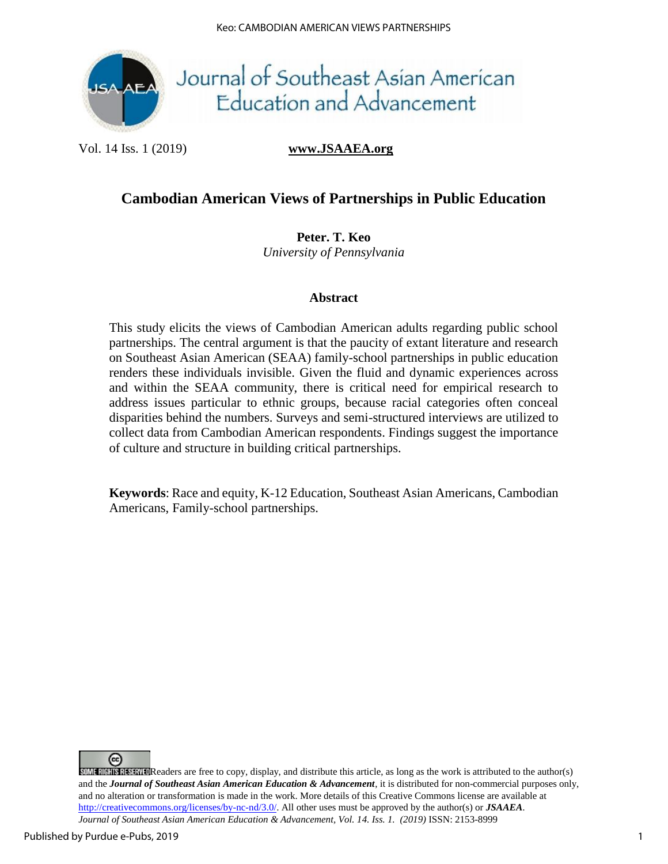

# Journal of Southeast Asian American<br>Education and Advancement

Vol. 14 Iss. 1 (2019) **www.JSAAEA.org**

# **Cambodian American Views of Partnerships in Public Education**

**Peter. T. Keo** *University of Pennsylvania*

#### **Abstract**

This study elicits the views of Cambodian American adults regarding public school partnerships. The central argument is that the paucity of extant literature and research on Southeast Asian American (SEAA) family-school partnerships in public education renders these individuals invisible. Given the fluid and dynamic experiences across and within the SEAA community, there is critical need for empirical research to address issues particular to ethnic groups, because racial categories often conceal disparities behind the numbers. Surveys and semi-structured interviews are utilized to collect data from Cambodian American respondents. Findings suggest the importance of culture and structure in building critical partnerships.

**Keywords**: Race and equity, K-12 Education, Southeast Asian Americans, Cambodian Americans, Family-school partnerships.

(cc)  $S$ OME RIGHTS RESERVED Readers are free to copy, display, and distribute this article, as long as the work is attributed to the author(s) and the *Journal of Southeast Asian American Education & Advancement*, it is distributed for non-commercial purposes only, and no alteration or transformation is made in the work. More details of this Creative Commons license are available at http://creativecommons.org/licenses/by-nc-nd/3.0/. All other uses must be approved by the author(s) or *JSAAEA*. *Journal of Southeast Asian American Education & Advancement, Vol. 14. Iss. 1. (2019)* ISSN: 2153-8999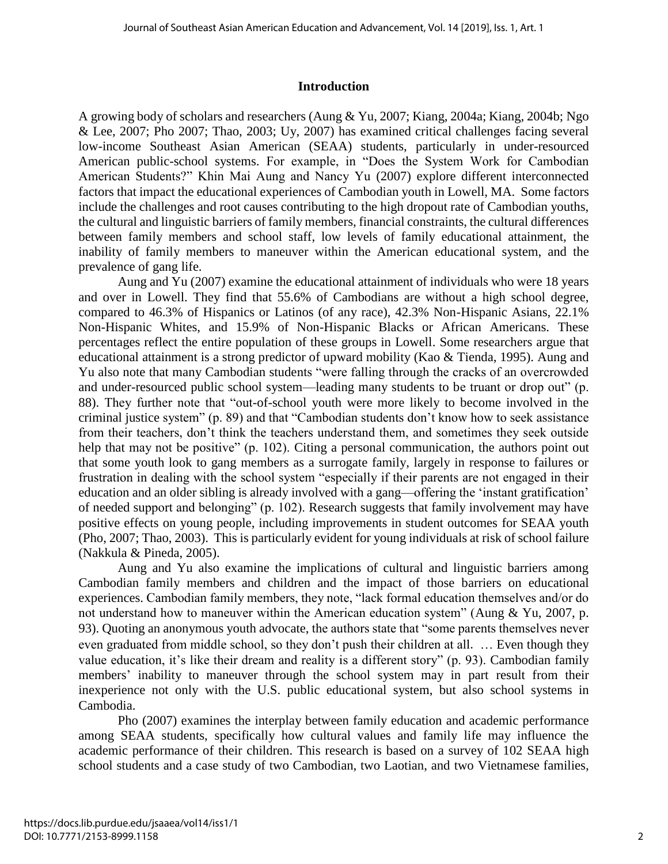#### **Introduction**

A growing body of scholars and researchers (Aung & Yu, 2007; Kiang, 2004a; Kiang, 2004b; Ngo & Lee, 2007; Pho 2007; Thao, 2003; Uy, 2007) has examined critical challenges facing several low-income Southeast Asian American (SEAA) students, particularly in under-resourced American public-school systems. For example, in "Does the System Work for Cambodian American Students?" Khin Mai Aung and Nancy Yu (2007) explore different interconnected factors that impact the educational experiences of Cambodian youth in Lowell, MA. Some factors include the challenges and root causes contributing to the high dropout rate of Cambodian youths, the cultural and linguistic barriers of family members, financial constraints, the cultural differences between family members and school staff, low levels of family educational attainment, the inability of family members to maneuver within the American educational system, and the prevalence of gang life.

Aung and Yu (2007) examine the educational attainment of individuals who were 18 years and over in Lowell. They find that 55.6% of Cambodians are without a high school degree, compared to 46.3% of Hispanics or Latinos (of any race), 42.3% Non-Hispanic Asians, 22.1% Non-Hispanic Whites, and 15.9% of Non-Hispanic Blacks or African Americans. These percentages reflect the entire population of these groups in Lowell. Some researchers argue that educational attainment is a strong predictor of upward mobility (Kao & Tienda, 1995). Aung and Yu also note that many Cambodian students "were falling through the cracks of an overcrowded and under-resourced public school system—leading many students to be truant or drop out" (p. 88). They further note that "out-of-school youth were more likely to become involved in the criminal justice system" (p. 89) and that "Cambodian students don't know how to seek assistance from their teachers, don't think the teachers understand them, and sometimes they seek outside help that may not be positive" (p. 102). Citing a personal communication, the authors point out that some youth look to gang members as a surrogate family, largely in response to failures or frustration in dealing with the school system "especially if their parents are not engaged in their education and an older sibling is already involved with a gang—offering the 'instant gratification' of needed support and belonging" (p. 102). Research suggests that family involvement may have positive effects on young people, including improvements in student outcomes for SEAA youth (Pho, 2007; Thao, 2003). This is particularly evident for young individuals at risk of school failure (Nakkula & Pineda, 2005).

Aung and Yu also examine the implications of cultural and linguistic barriers among Cambodian family members and children and the impact of those barriers on educational experiences. Cambodian family members, they note, "lack formal education themselves and/or do not understand how to maneuver within the American education system" (Aung & Yu, 2007, p. 93). Quoting an anonymous youth advocate, the authors state that "some parents themselves never even graduated from middle school, so they don't push their children at all. … Even though they value education, it's like their dream and reality is a different story" (p. 93). Cambodian family members' inability to maneuver through the school system may in part result from their inexperience not only with the U.S. public educational system, but also school systems in Cambodia.

Pho (2007) examines the interplay between family education and academic performance among SEAA students, specifically how cultural values and family life may influence the academic performance of their children. This research is based on a survey of 102 SEAA high school students and a case study of two Cambodian, two Laotian, and two Vietnamese families,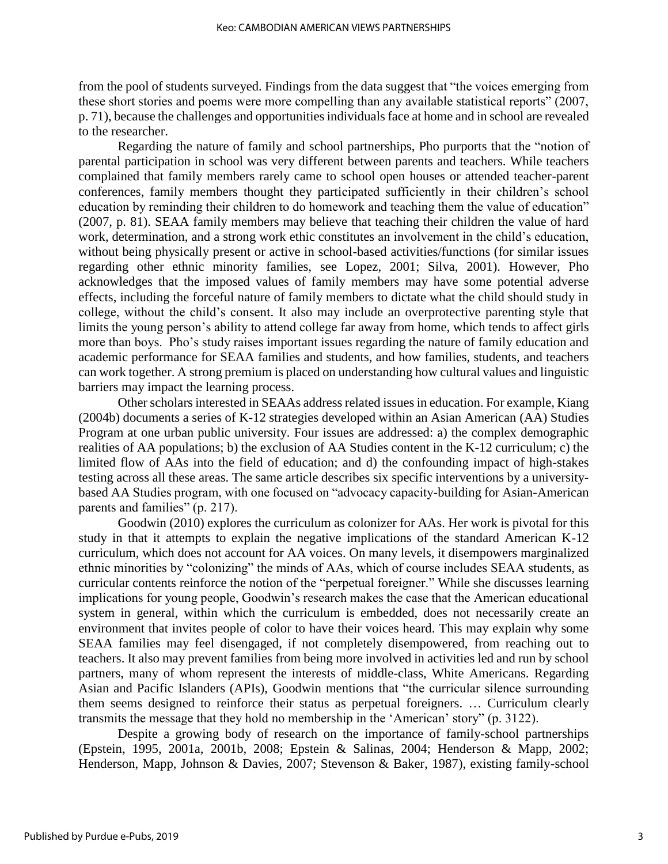from the pool of students surveyed. Findings from the data suggest that "the voices emerging from these short stories and poems were more compelling than any available statistical reports" (2007, p. 71), because the challenges and opportunities individuals face at home and in school are revealed to the researcher.

Regarding the nature of family and school partnerships, Pho purports that the "notion of parental participation in school was very different between parents and teachers. While teachers complained that family members rarely came to school open houses or attended teacher-parent conferences, family members thought they participated sufficiently in their children's school education by reminding their children to do homework and teaching them the value of education" (2007, p. 81). SEAA family members may believe that teaching their children the value of hard work, determination, and a strong work ethic constitutes an involvement in the child's education, without being physically present or active in school-based activities/functions (for similar issues regarding other ethnic minority families, see Lopez, 2001; Silva, 2001). However, Pho acknowledges that the imposed values of family members may have some potential adverse effects, including the forceful nature of family members to dictate what the child should study in college, without the child's consent. It also may include an overprotective parenting style that limits the young person's ability to attend college far away from home, which tends to affect girls more than boys. Pho's study raises important issues regarding the nature of family education and academic performance for SEAA families and students, and how families, students, and teachers can work together. A strong premium is placed on understanding how cultural values and linguistic barriers may impact the learning process.

Other scholars interested in SEAAs address related issues in education. For example, Kiang (2004b) documents a series of K-12 strategies developed within an Asian American (AA) Studies Program at one urban public university. Four issues are addressed: a) the complex demographic realities of AA populations; b) the exclusion of AA Studies content in the K-12 curriculum; c) the limited flow of AAs into the field of education; and d) the confounding impact of high-stakes testing across all these areas. The same article describes six specific interventions by a universitybased AA Studies program, with one focused on "advocacy capacity-building for Asian-American parents and families" (p. 217).

Goodwin (2010) explores the curriculum as colonizer for AAs. Her work is pivotal for this study in that it attempts to explain the negative implications of the standard American K-12 curriculum, which does not account for AA voices. On many levels, it disempowers marginalized ethnic minorities by "colonizing" the minds of AAs, which of course includes SEAA students, as curricular contents reinforce the notion of the "perpetual foreigner." While she discusses learning implications for young people, Goodwin's research makes the case that the American educational system in general, within which the curriculum is embedded, does not necessarily create an environment that invites people of color to have their voices heard. This may explain why some SEAA families may feel disengaged, if not completely disempowered, from reaching out to teachers. It also may prevent families from being more involved in activities led and run by school partners, many of whom represent the interests of middle-class, White Americans. Regarding Asian and Pacific Islanders (APIs), Goodwin mentions that "the curricular silence surrounding them seems designed to reinforce their status as perpetual foreigners. … Curriculum clearly transmits the message that they hold no membership in the 'American' story" (p. 3122).

Despite a growing body of research on the importance of family-school partnerships (Epstein, 1995, 2001a, 2001b, 2008; Epstein & Salinas, 2004; Henderson & Mapp, 2002; Henderson, Mapp, Johnson & Davies, 2007; Stevenson & Baker, 1987), existing family-school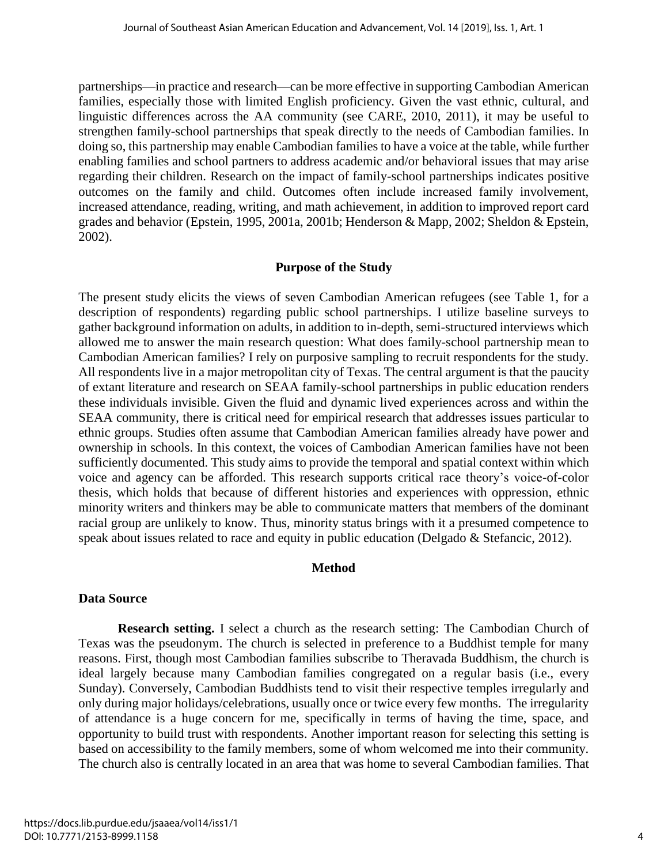partnerships—in practice and research—can be more effective in supporting Cambodian American families, especially those with limited English proficiency. Given the vast ethnic, cultural, and linguistic differences across the AA community (see CARE, 2010, 2011), it may be useful to strengthen family-school partnerships that speak directly to the needs of Cambodian families. In doing so, this partnership may enable Cambodian families to have a voice at the table, while further enabling families and school partners to address academic and/or behavioral issues that may arise regarding their children. Research on the impact of family-school partnerships indicates positive outcomes on the family and child. Outcomes often include increased family involvement, increased attendance, reading, writing, and math achievement, in addition to improved report card grades and behavior (Epstein, 1995, 2001a, 2001b; Henderson & Mapp, 2002; Sheldon & Epstein, 2002).

#### **Purpose of the Study**

The present study elicits the views of seven Cambodian American refugees (see Table 1, for a description of respondents) regarding public school partnerships. I utilize baseline surveys to gather background information on adults, in addition to in-depth, semi-structured interviews which allowed me to answer the main research question: What does family-school partnership mean to Cambodian American families? I rely on purposive sampling to recruit respondents for the study. All respondents live in a major metropolitan city of Texas. The central argument is that the paucity of extant literature and research on SEAA family-school partnerships in public education renders these individuals invisible. Given the fluid and dynamic lived experiences across and within the SEAA community, there is critical need for empirical research that addresses issues particular to ethnic groups. Studies often assume that Cambodian American families already have power and ownership in schools. In this context, the voices of Cambodian American families have not been sufficiently documented. This study aims to provide the temporal and spatial context within which voice and agency can be afforded. This research supports critical race theory's voice-of-color thesis, which holds that because of different histories and experiences with oppression, ethnic minority writers and thinkers may be able to communicate matters that members of the dominant racial group are unlikely to know. Thus, minority status brings with it a presumed competence to speak about issues related to race and equity in public education (Delgado & Stefancic, 2012).

#### **Method**

#### **Data Source**

 **Research setting.** I select a church as the research setting: The Cambodian Church of Texas was the pseudonym. The church is selected in preference to a Buddhist temple for many reasons. First, though most Cambodian families subscribe to Theravada Buddhism, the church is ideal largely because many Cambodian families congregated on a regular basis (i.e., every Sunday). Conversely, Cambodian Buddhists tend to visit their respective temples irregularly and only during major holidays/celebrations, usually once or twice every few months. The irregularity of attendance is a huge concern for me, specifically in terms of having the time, space, and opportunity to build trust with respondents. Another important reason for selecting this setting is based on accessibility to the family members, some of whom welcomed me into their community. The church also is centrally located in an area that was home to several Cambodian families. That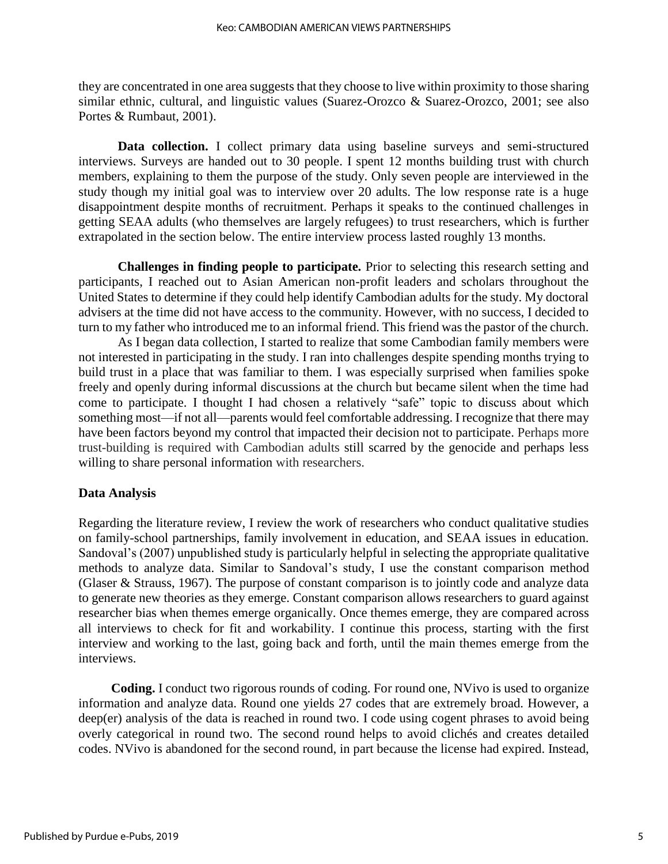they are concentrated in one area suggests that they choose to live within proximity to those sharing similar ethnic, cultural, and linguistic values (Suarez-Orozco & Suarez-Orozco, 2001; see also Portes & Rumbaut, 2001).

 **Data collection.** I collect primary data using baseline surveys and semi-structured interviews. Surveys are handed out to 30 people. I spent 12 months building trust with church members, explaining to them the purpose of the study. Only seven people are interviewed in the study though my initial goal was to interview over 20 adults. The low response rate is a huge disappointment despite months of recruitment. Perhaps it speaks to the continued challenges in getting SEAA adults (who themselves are largely refugees) to trust researchers, which is further extrapolated in the section below. The entire interview process lasted roughly 13 months.

 **Challenges in finding people to participate.** Prior to selecting this research setting and participants, I reached out to Asian American non-profit leaders and scholars throughout the United States to determine if they could help identify Cambodian adults for the study. My doctoral advisers at the time did not have access to the community. However, with no success, I decided to turn to my father who introduced me to an informal friend. This friend was the pastor of the church.

As I began data collection, I started to realize that some Cambodian family members were not interested in participating in the study. I ran into challenges despite spending months trying to build trust in a place that was familiar to them. I was especially surprised when families spoke freely and openly during informal discussions at the church but became silent when the time had come to participate. I thought I had chosen a relatively "safe" topic to discuss about which something most—if not all—parents would feel comfortable addressing. I recognize that there may have been factors beyond my control that impacted their decision not to participate. Perhaps more trust-building is required with Cambodian adults still scarred by the genocide and perhaps less willing to share personal information with researchers.

#### **Data Analysis**

Regarding the literature review, I review the work of researchers who conduct qualitative studies on family-school partnerships, family involvement in education, and SEAA issues in education. Sandoval's (2007) unpublished study is particularly helpful in selecting the appropriate qualitative methods to analyze data. Similar to Sandoval's study, I use the constant comparison method (Glaser & Strauss, 1967). The purpose of constant comparison is to jointly code and analyze data to generate new theories as they emerge. Constant comparison allows researchers to guard against researcher bias when themes emerge organically. Once themes emerge, they are compared across all interviews to check for fit and workability. I continue this process, starting with the first interview and working to the last, going back and forth, until the main themes emerge from the interviews.

 **Coding.** I conduct two rigorous rounds of coding. For round one, NVivo is used to organize information and analyze data. Round one yields 27 codes that are extremely broad. However, a deep(er) analysis of the data is reached in round two. I code using cogent phrases to avoid being overly categorical in round two. The second round helps to avoid clichés and creates detailed codes. NVivo is abandoned for the second round, in part because the license had expired. Instead,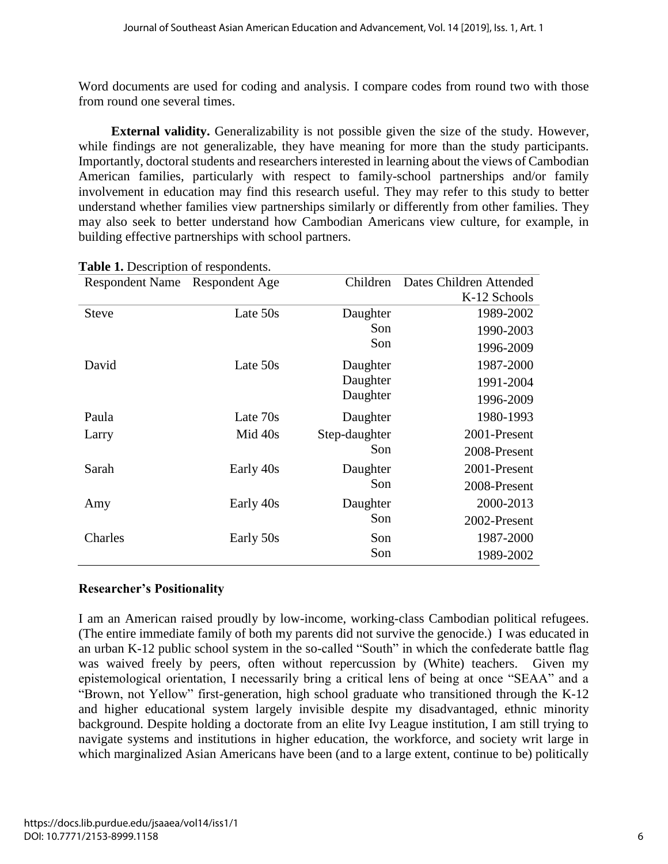Word documents are used for coding and analysis. I compare codes from round two with those from round one several times.

 **External validity.** Generalizability is not possible given the size of the study. However, while findings are not generalizable, they have meaning for more than the study participants. Importantly, doctoral students and researchers interested in learning about the views of Cambodian American families, particularly with respect to family-school partnerships and/or family involvement in education may find this research useful. They may refer to this study to better understand whether families view partnerships similarly or differently from other families. They may also seek to better understand how Cambodian Americans view culture, for example, in building effective partnerships with school partners.

| <b>Respondent Name</b> | <b>Respondent Age</b> | Children      | Dates Children Attended |
|------------------------|-----------------------|---------------|-------------------------|
|                        |                       |               | K-12 Schools            |
| Steve                  | Late 50s              | Daughter      | 1989-2002               |
|                        |                       | Son           | 1990-2003               |
|                        |                       | Son           | 1996-2009               |
| David                  | Late 50s              | Daughter      | 1987-2000               |
|                        |                       | Daughter      | 1991-2004               |
|                        |                       | Daughter      | 1996-2009               |
| Paula                  | Late 70s              | Daughter      | 1980-1993               |
| Larry                  | Mid 40s               | Step-daughter | 2001-Present            |
|                        |                       | Son           | 2008-Present            |
| Sarah                  | Early 40s             | Daughter      | 2001-Present            |
|                        |                       | Son           | 2008-Present            |
| Amy                    | Early 40s             | Daughter      | 2000-2013               |
|                        |                       | Son           | 2002-Present            |
| Charles                | Early 50s             | Son           | 1987-2000               |
|                        |                       | Son           | 1989-2002               |

## **Table 1.** Description of respondents.

#### **Researcher's Positionality**

I am an American raised proudly by low-income, working-class Cambodian political refugees. (The entire immediate family of both my parents did not survive the genocide.) I was educated in an urban K-12 public school system in the so-called "South" in which the confederate battle flag was waived freely by peers, often without repercussion by (White) teachers. Given my epistemological orientation, I necessarily bring a critical lens of being at once "SEAA" and a "Brown, not Yellow" first-generation, high school graduate who transitioned through the K-12 and higher educational system largely invisible despite my disadvantaged, ethnic minority background. Despite holding a doctorate from an elite Ivy League institution, I am still trying to navigate systems and institutions in higher education, the workforce, and society writ large in which marginalized Asian Americans have been (and to a large extent, continue to be) politically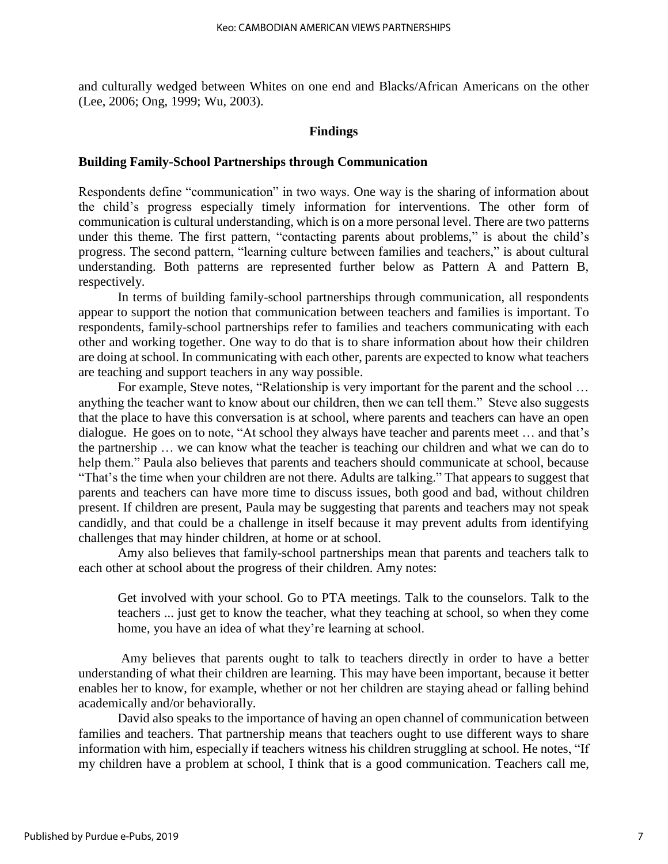and culturally wedged between Whites on one end and Blacks/African Americans on the other (Lee, 2006; Ong, 1999; Wu, 2003).

#### **Findings**

#### **Building Family-School Partnerships through Communication**

Respondents define "communication" in two ways. One way is the sharing of information about the child's progress especially timely information for interventions. The other form of communication is cultural understanding, which is on a more personal level. There are two patterns under this theme. The first pattern, "contacting parents about problems," is about the child's progress. The second pattern, "learning culture between families and teachers," is about cultural understanding. Both patterns are represented further below as Pattern A and Pattern B, respectively.

In terms of building family-school partnerships through communication, all respondents appear to support the notion that communication between teachers and families is important. To respondents, family-school partnerships refer to families and teachers communicating with each other and working together. One way to do that is to share information about how their children are doing at school. In communicating with each other, parents are expected to know what teachers are teaching and support teachers in any way possible.

For example, Steve notes, "Relationship is very important for the parent and the school ... anything the teacher want to know about our children, then we can tell them." Steve also suggests that the place to have this conversation is at school, where parents and teachers can have an open dialogue. He goes on to note, "At school they always have teacher and parents meet … and that's the partnership … we can know what the teacher is teaching our children and what we can do to help them." Paula also believes that parents and teachers should communicate at school, because "That's the time when your children are not there. Adults are talking." That appears to suggest that parents and teachers can have more time to discuss issues, both good and bad, without children present. If children are present, Paula may be suggesting that parents and teachers may not speak candidly, and that could be a challenge in itself because it may prevent adults from identifying challenges that may hinder children, at home or at school.

Amy also believes that family-school partnerships mean that parents and teachers talk to each other at school about the progress of their children. Amy notes:

Get involved with your school. Go to PTA meetings. Talk to the counselors. Talk to the teachers ... just get to know the teacher, what they teaching at school, so when they come home, you have an idea of what they're learning at school.

Amy believes that parents ought to talk to teachers directly in order to have a better understanding of what their children are learning. This may have been important, because it better enables her to know, for example, whether or not her children are staying ahead or falling behind academically and/or behaviorally.

David also speaks to the importance of having an open channel of communication between families and teachers. That partnership means that teachers ought to use different ways to share information with him, especially if teachers witness his children struggling at school. He notes, "If my children have a problem at school, I think that is a good communication. Teachers call me,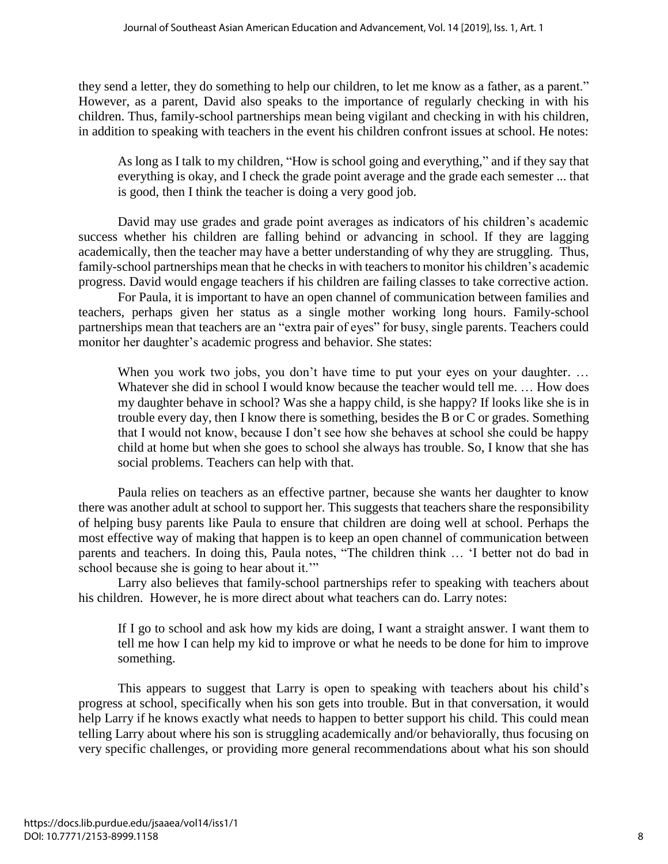they send a letter, they do something to help our children, to let me know as a father, as a parent." However, as a parent, David also speaks to the importance of regularly checking in with his children. Thus, family-school partnerships mean being vigilant and checking in with his children, in addition to speaking with teachers in the event his children confront issues at school. He notes:

As long as I talk to my children, "How is school going and everything," and if they say that everything is okay, and I check the grade point average and the grade each semester ... that is good, then I think the teacher is doing a very good job.

David may use grades and grade point averages as indicators of his children's academic success whether his children are falling behind or advancing in school. If they are lagging academically, then the teacher may have a better understanding of why they are struggling. Thus, family-school partnerships mean that he checks in with teachers to monitor his children's academic progress. David would engage teachers if his children are failing classes to take corrective action.

For Paula, it is important to have an open channel of communication between families and teachers, perhaps given her status as a single mother working long hours. Family-school partnerships mean that teachers are an "extra pair of eyes" for busy, single parents. Teachers could monitor her daughter's academic progress and behavior. She states:

When you work two jobs, you don't have time to put your eyes on your daughter. ... Whatever she did in school I would know because the teacher would tell me. … How does my daughter behave in school? Was she a happy child, is she happy? If looks like she is in trouble every day, then I know there is something, besides the B or C or grades. Something that I would not know, because I don't see how she behaves at school she could be happy child at home but when she goes to school she always has trouble. So, I know that she has social problems. Teachers can help with that.

Paula relies on teachers as an effective partner, because she wants her daughter to know there was another adult at school to support her. This suggests that teachers share the responsibility of helping busy parents like Paula to ensure that children are doing well at school. Perhaps the most effective way of making that happen is to keep an open channel of communication between parents and teachers. In doing this, Paula notes, "The children think … 'I better not do bad in school because she is going to hear about it.'"

Larry also believes that family-school partnerships refer to speaking with teachers about his children. However, he is more direct about what teachers can do. Larry notes:

If I go to school and ask how my kids are doing, I want a straight answer. I want them to tell me how I can help my kid to improve or what he needs to be done for him to improve something.

 This appears to suggest that Larry is open to speaking with teachers about his child's progress at school, specifically when his son gets into trouble. But in that conversation, it would help Larry if he knows exactly what needs to happen to better support his child. This could mean telling Larry about where his son is struggling academically and/or behaviorally, thus focusing on very specific challenges, or providing more general recommendations about what his son should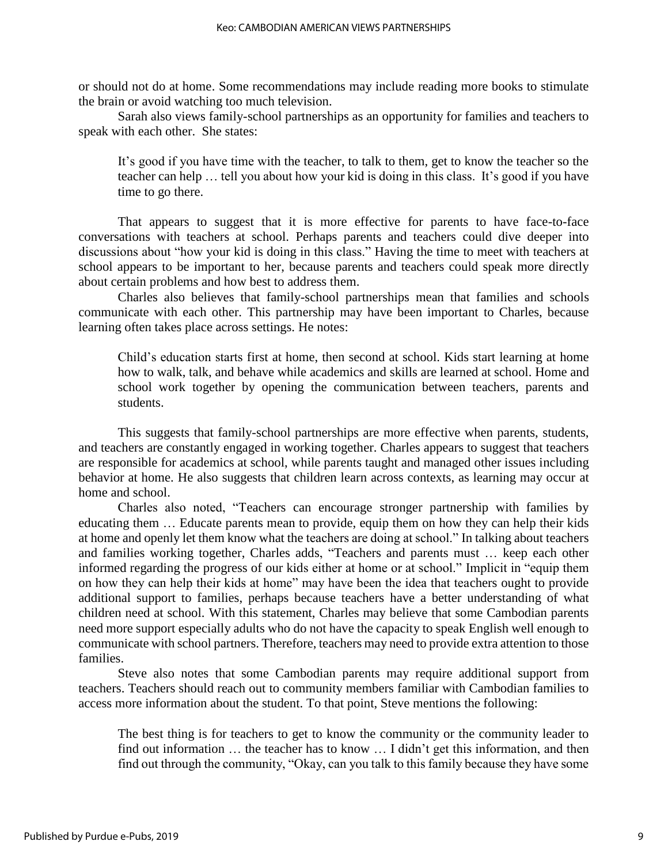or should not do at home. Some recommendations may include reading more books to stimulate the brain or avoid watching too much television.

Sarah also views family-school partnerships as an opportunity for families and teachers to speak with each other. She states:

It's good if you have time with the teacher, to talk to them, get to know the teacher so the teacher can help … tell you about how your kid is doing in this class. It's good if you have time to go there.

That appears to suggest that it is more effective for parents to have face-to-face conversations with teachers at school. Perhaps parents and teachers could dive deeper into discussions about "how your kid is doing in this class." Having the time to meet with teachers at school appears to be important to her, because parents and teachers could speak more directly about certain problems and how best to address them.

Charles also believes that family-school partnerships mean that families and schools communicate with each other. This partnership may have been important to Charles, because learning often takes place across settings. He notes:

Child's education starts first at home, then second at school. Kids start learning at home how to walk, talk, and behave while academics and skills are learned at school. Home and school work together by opening the communication between teachers, parents and students.

This suggests that family-school partnerships are more effective when parents, students, and teachers are constantly engaged in working together. Charles appears to suggest that teachers are responsible for academics at school, while parents taught and managed other issues including behavior at home. He also suggests that children learn across contexts, as learning may occur at home and school.

Charles also noted, "Teachers can encourage stronger partnership with families by educating them … Educate parents mean to provide, equip them on how they can help their kids at home and openly let them know what the teachers are doing at school." In talking about teachers and families working together, Charles adds, "Teachers and parents must … keep each other informed regarding the progress of our kids either at home or at school." Implicit in "equip them on how they can help their kids at home" may have been the idea that teachers ought to provide additional support to families, perhaps because teachers have a better understanding of what children need at school. With this statement, Charles may believe that some Cambodian parents need more support especially adults who do not have the capacity to speak English well enough to communicate with school partners. Therefore, teachers may need to provide extra attention to those families.

Steve also notes that some Cambodian parents may require additional support from teachers. Teachers should reach out to community members familiar with Cambodian families to access more information about the student. To that point, Steve mentions the following:

The best thing is for teachers to get to know the community or the community leader to find out information … the teacher has to know … I didn't get this information, and then find out through the community, "Okay, can you talk to this family because they have some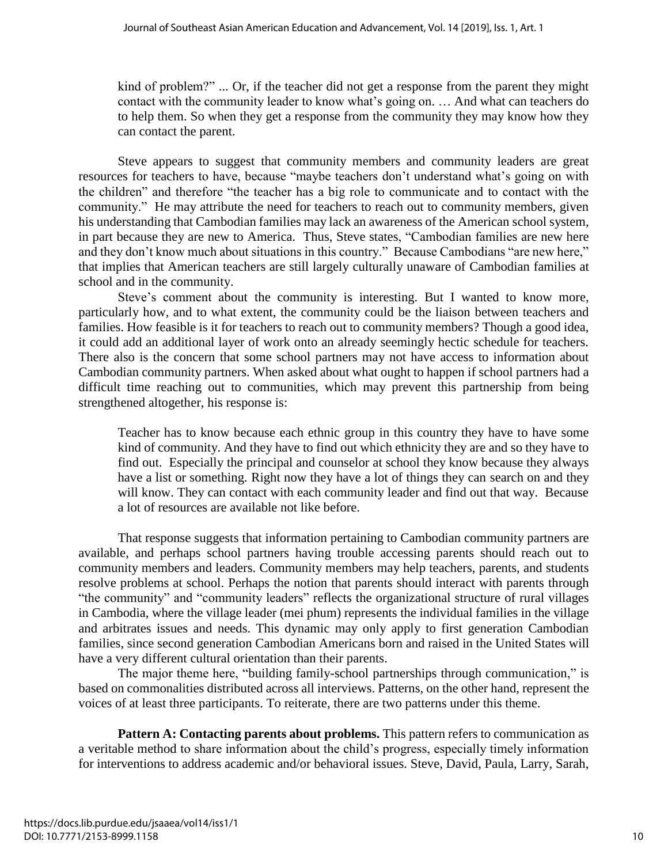kind of problem?" ... Or, if the teacher did not get a response from the parent they might contact with the community leader to know what's going on. … And what can teachers do to help them. So when they get a response from the community they may know how they can contact the parent.

Steve appears to suggest that community members and community leaders are great resources for teachers to have, because "maybe teachers don't understand what's going on with the children" and therefore "the teacher has a big role to communicate and to contact with the community." He may attribute the need for teachers to reach out to community members, given his understanding that Cambodian families may lack an awareness of the American school system, in part because they are new to America. Thus, Steve states, "Cambodian families are new here and they don't know much about situations in this country." Because Cambodians "are new here," that implies that American teachers are still largely culturally unaware of Cambodian families at school and in the community.

Steve's comment about the community is interesting. But I wanted to know more, particularly how, and to what extent, the community could be the liaison between teachers and families. How feasible is it for teachers to reach out to community members? Though a good idea, it could add an additional layer of work onto an already seemingly hectic schedule for teachers. There also is the concern that some school partners may not have access to information about Cambodian community partners. When asked about what ought to happen if school partners had a difficult time reaching out to communities, which may prevent this partnership from being strengthened altogether, his response is:

Teacher has to know because each ethnic group in this country they have to have some kind of community. And they have to find out which ethnicity they are and so they have to find out. Especially the principal and counselor at school they know because they always have a list or something. Right now they have a lot of things they can search on and they will know. They can contact with each community leader and find out that way. Because a lot of resources are available not like before.

That response suggests that information pertaining to Cambodian community partners are available, and perhaps school partners having trouble accessing parents should reach out to community members and leaders. Community members may help teachers, parents, and students resolve problems at school. Perhaps the notion that parents should interact with parents through "the community" and "community leaders" reflects the organizational structure of rural villages in Cambodia, where the village leader (mei phum) represents the individual families in the village and arbitrates issues and needs. This dynamic may only apply to first generation Cambodian families, since second generation Cambodian Americans born and raised in the United States will have a very different cultural orientation than their parents.

The major theme here, "building family-school partnerships through communication," is based on commonalities distributed across all interviews. Patterns, on the other hand, represent the voices of at least three participants. To reiterate, there are two patterns under this theme.

**Pattern A: Contacting parents about problems.** This pattern refers to communication as a veritable method to share information about the child's progress, especially timely information for interventions to address academic and/or behavioral issues. Steve, David, Paula, Larry, Sarah,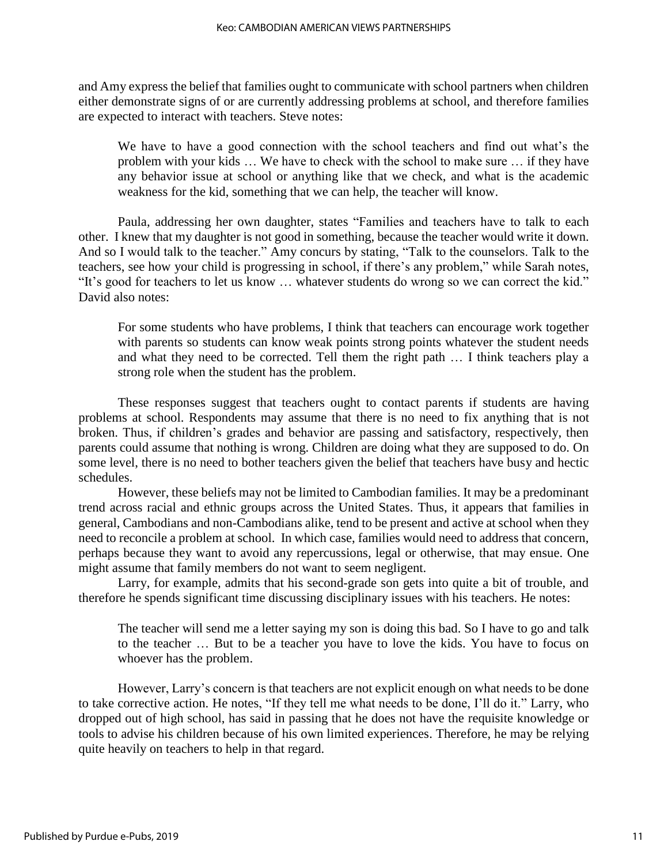and Amy express the belief that families ought to communicate with school partners when children either demonstrate signs of or are currently addressing problems at school, and therefore families are expected to interact with teachers. Steve notes:

We have to have a good connection with the school teachers and find out what's the problem with your kids … We have to check with the school to make sure … if they have any behavior issue at school or anything like that we check, and what is the academic weakness for the kid, something that we can help, the teacher will know.

Paula, addressing her own daughter, states "Families and teachers have to talk to each other. I knew that my daughter is not good in something, because the teacher would write it down. And so I would talk to the teacher." Amy concurs by stating, "Talk to the counselors. Talk to the teachers, see how your child is progressing in school, if there's any problem," while Sarah notes, "It's good for teachers to let us know … whatever students do wrong so we can correct the kid." David also notes:

For some students who have problems, I think that teachers can encourage work together with parents so students can know weak points strong points whatever the student needs and what they need to be corrected. Tell them the right path … I think teachers play a strong role when the student has the problem.

These responses suggest that teachers ought to contact parents if students are having problems at school. Respondents may assume that there is no need to fix anything that is not broken. Thus, if children's grades and behavior are passing and satisfactory, respectively, then parents could assume that nothing is wrong. Children are doing what they are supposed to do. On some level, there is no need to bother teachers given the belief that teachers have busy and hectic schedules.

However, these beliefs may not be limited to Cambodian families. It may be a predominant trend across racial and ethnic groups across the United States. Thus, it appears that families in general, Cambodians and non-Cambodians alike, tend to be present and active at school when they need to reconcile a problem at school. In which case, families would need to address that concern, perhaps because they want to avoid any repercussions, legal or otherwise, that may ensue. One might assume that family members do not want to seem negligent.

Larry, for example, admits that his second-grade son gets into quite a bit of trouble, and therefore he spends significant time discussing disciplinary issues with his teachers. He notes:

The teacher will send me a letter saying my son is doing this bad. So I have to go and talk to the teacher … But to be a teacher you have to love the kids. You have to focus on whoever has the problem.

However, Larry's concern is that teachers are not explicit enough on what needs to be done to take corrective action. He notes, "If they tell me what needs to be done, I'll do it." Larry, who dropped out of high school, has said in passing that he does not have the requisite knowledge or tools to advise his children because of his own limited experiences. Therefore, he may be relying quite heavily on teachers to help in that regard.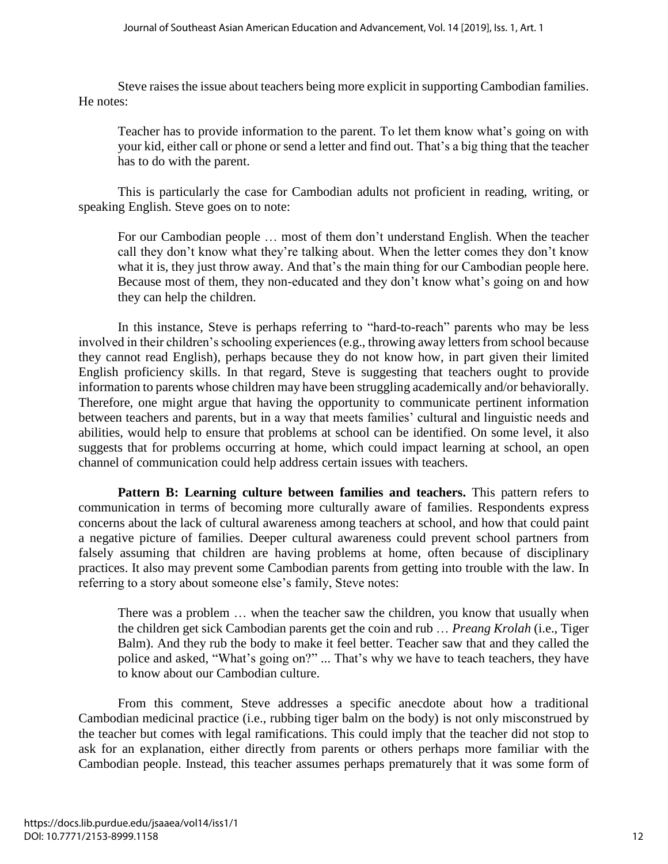Steve raises the issue about teachers being more explicit in supporting Cambodian families. He notes:

Teacher has to provide information to the parent. To let them know what's going on with your kid, either call or phone or send a letter and find out. That's a big thing that the teacher has to do with the parent.

This is particularly the case for Cambodian adults not proficient in reading, writing, or speaking English. Steve goes on to note:

For our Cambodian people … most of them don't understand English. When the teacher call they don't know what they're talking about. When the letter comes they don't know what it is, they just throw away. And that's the main thing for our Cambodian people here. Because most of them, they non-educated and they don't know what's going on and how they can help the children.

In this instance, Steve is perhaps referring to "hard-to-reach" parents who may be less involved in their children's schooling experiences (e.g., throwing away letters from school because they cannot read English), perhaps because they do not know how, in part given their limited English proficiency skills. In that regard, Steve is suggesting that teachers ought to provide information to parents whose children may have been struggling academically and/or behaviorally. Therefore, one might argue that having the opportunity to communicate pertinent information between teachers and parents, but in a way that meets families' cultural and linguistic needs and abilities, would help to ensure that problems at school can be identified. On some level, it also suggests that for problems occurring at home, which could impact learning at school, an open channel of communication could help address certain issues with teachers.

Pattern B: Learning culture between families and teachers. This pattern refers to communication in terms of becoming more culturally aware of families. Respondents express concerns about the lack of cultural awareness among teachers at school, and how that could paint a negative picture of families. Deeper cultural awareness could prevent school partners from falsely assuming that children are having problems at home, often because of disciplinary practices. It also may prevent some Cambodian parents from getting into trouble with the law. In referring to a story about someone else's family, Steve notes:

There was a problem … when the teacher saw the children, you know that usually when the children get sick Cambodian parents get the coin and rub … *Preang Krolah* (i.e., Tiger Balm). And they rub the body to make it feel better. Teacher saw that and they called the police and asked, "What's going on?" ... That's why we have to teach teachers, they have to know about our Cambodian culture.

From this comment, Steve addresses a specific anecdote about how a traditional Cambodian medicinal practice (i.e., rubbing tiger balm on the body) is not only misconstrued by the teacher but comes with legal ramifications. This could imply that the teacher did not stop to ask for an explanation, either directly from parents or others perhaps more familiar with the Cambodian people. Instead, this teacher assumes perhaps prematurely that it was some form of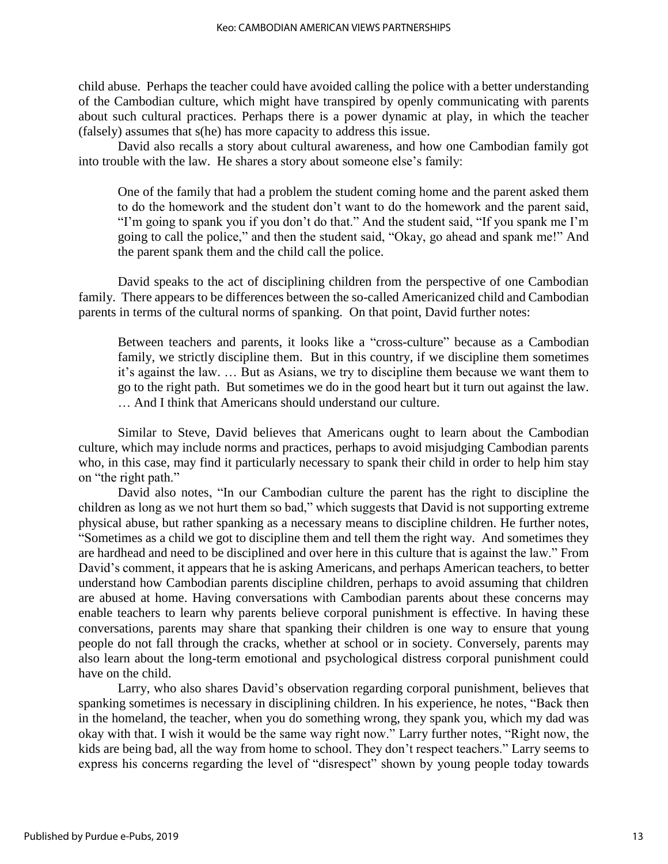child abuse. Perhaps the teacher could have avoided calling the police with a better understanding of the Cambodian culture, which might have transpired by openly communicating with parents about such cultural practices. Perhaps there is a power dynamic at play, in which the teacher (falsely) assumes that s(he) has more capacity to address this issue.

David also recalls a story about cultural awareness, and how one Cambodian family got into trouble with the law. He shares a story about someone else's family:

One of the family that had a problem the student coming home and the parent asked them to do the homework and the student don't want to do the homework and the parent said, "I'm going to spank you if you don't do that." And the student said, "If you spank me I'm going to call the police," and then the student said, "Okay, go ahead and spank me!" And the parent spank them and the child call the police.

David speaks to the act of disciplining children from the perspective of one Cambodian family. There appears to be differences between the so-called Americanized child and Cambodian parents in terms of the cultural norms of spanking. On that point, David further notes:

Between teachers and parents, it looks like a "cross-culture" because as a Cambodian family, we strictly discipline them. But in this country, if we discipline them sometimes it's against the law. … But as Asians, we try to discipline them because we want them to go to the right path. But sometimes we do in the good heart but it turn out against the law. … And I think that Americans should understand our culture.

Similar to Steve, David believes that Americans ought to learn about the Cambodian culture, which may include norms and practices, perhaps to avoid misjudging Cambodian parents who, in this case, may find it particularly necessary to spank their child in order to help him stay on "the right path."

David also notes, "In our Cambodian culture the parent has the right to discipline the children as long as we not hurt them so bad," which suggests that David is not supporting extreme physical abuse, but rather spanking as a necessary means to discipline children. He further notes, "Sometimes as a child we got to discipline them and tell them the right way. And sometimes they are hardhead and need to be disciplined and over here in this culture that is against the law." From David's comment, it appears that he is asking Americans, and perhaps American teachers, to better understand how Cambodian parents discipline children, perhaps to avoid assuming that children are abused at home. Having conversations with Cambodian parents about these concerns may enable teachers to learn why parents believe corporal punishment is effective. In having these conversations, parents may share that spanking their children is one way to ensure that young people do not fall through the cracks, whether at school or in society. Conversely, parents may also learn about the long-term emotional and psychological distress corporal punishment could have on the child.

Larry, who also shares David's observation regarding corporal punishment, believes that spanking sometimes is necessary in disciplining children. In his experience, he notes, "Back then in the homeland, the teacher, when you do something wrong, they spank you, which my dad was okay with that. I wish it would be the same way right now." Larry further notes, "Right now, the kids are being bad, all the way from home to school. They don't respect teachers." Larry seems to express his concerns regarding the level of "disrespect" shown by young people today towards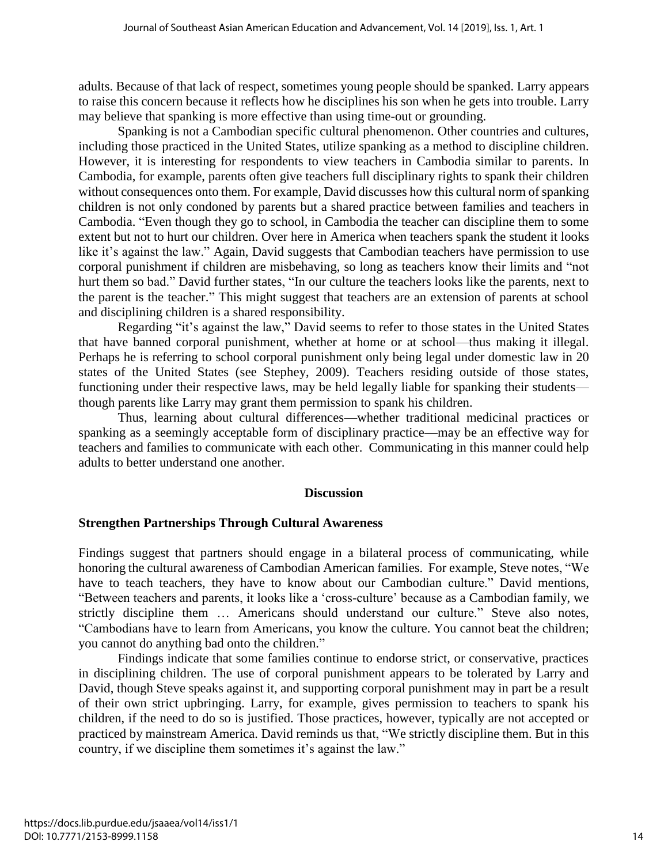adults. Because of that lack of respect, sometimes young people should be spanked. Larry appears to raise this concern because it reflects how he disciplines his son when he gets into trouble. Larry may believe that spanking is more effective than using time-out or grounding.

Spanking is not a Cambodian specific cultural phenomenon. Other countries and cultures, including those practiced in the United States, utilize spanking as a method to discipline children. However, it is interesting for respondents to view teachers in Cambodia similar to parents. In Cambodia, for example, parents often give teachers full disciplinary rights to spank their children without consequences onto them. For example, David discusses how this cultural norm of spanking children is not only condoned by parents but a shared practice between families and teachers in Cambodia. "Even though they go to school, in Cambodia the teacher can discipline them to some extent but not to hurt our children. Over here in America when teachers spank the student it looks like it's against the law." Again, David suggests that Cambodian teachers have permission to use corporal punishment if children are misbehaving, so long as teachers know their limits and "not hurt them so bad." David further states, "In our culture the teachers looks like the parents, next to the parent is the teacher." This might suggest that teachers are an extension of parents at school and disciplining children is a shared responsibility.

Regarding "it's against the law," David seems to refer to those states in the United States that have banned corporal punishment, whether at home or at school—thus making it illegal. Perhaps he is referring to school corporal punishment only being legal under domestic law in 20 states of the United States (see Stephey, 2009). Teachers residing outside of those states, functioning under their respective laws, may be held legally liable for spanking their students though parents like Larry may grant them permission to spank his children.

Thus, learning about cultural differences—whether traditional medicinal practices or spanking as a seemingly acceptable form of disciplinary practice—may be an effective way for teachers and families to communicate with each other. Communicating in this manner could help adults to better understand one another.

#### **Discussion**

#### **Strengthen Partnerships Through Cultural Awareness**

Findings suggest that partners should engage in a bilateral process of communicating, while honoring the cultural awareness of Cambodian American families. For example, Steve notes, "We have to teach teachers, they have to know about our Cambodian culture." David mentions, "Between teachers and parents, it looks like a 'cross-culture' because as a Cambodian family, we strictly discipline them … Americans should understand our culture." Steve also notes, "Cambodians have to learn from Americans, you know the culture. You cannot beat the children; you cannot do anything bad onto the children."

Findings indicate that some families continue to endorse strict, or conservative, practices in disciplining children. The use of corporal punishment appears to be tolerated by Larry and David, though Steve speaks against it, and supporting corporal punishment may in part be a result of their own strict upbringing. Larry, for example, gives permission to teachers to spank his children, if the need to do so is justified. Those practices, however, typically are not accepted or practiced by mainstream America. David reminds us that, "We strictly discipline them. But in this country, if we discipline them sometimes it's against the law."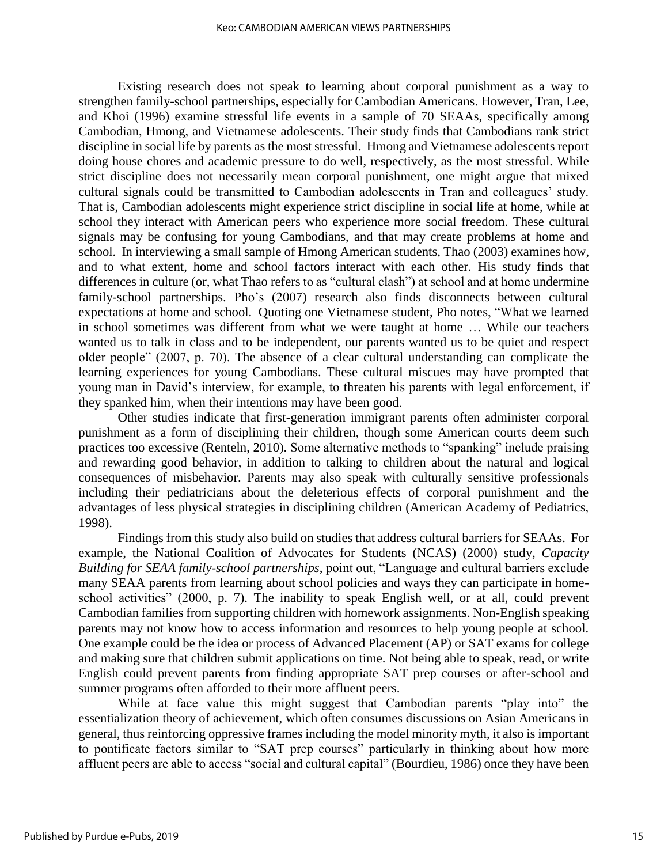Existing research does not speak to learning about corporal punishment as a way to strengthen family-school partnerships, especially for Cambodian Americans. However, Tran, Lee, and Khoi (1996) examine stressful life events in a sample of 70 SEAAs, specifically among Cambodian, Hmong, and Vietnamese adolescents. Their study finds that Cambodians rank strict discipline in social life by parents as the most stressful. Hmong and Vietnamese adolescents report doing house chores and academic pressure to do well, respectively, as the most stressful. While strict discipline does not necessarily mean corporal punishment, one might argue that mixed cultural signals could be transmitted to Cambodian adolescents in Tran and colleagues' study. That is, Cambodian adolescents might experience strict discipline in social life at home, while at school they interact with American peers who experience more social freedom. These cultural signals may be confusing for young Cambodians, and that may create problems at home and school. In interviewing a small sample of Hmong American students, Thao (2003) examines how, and to what extent, home and school factors interact with each other. His study finds that differences in culture (or, what Thao refers to as "cultural clash") at school and at home undermine family-school partnerships. Pho's (2007) research also finds disconnects between cultural expectations at home and school. Quoting one Vietnamese student, Pho notes, "What we learned in school sometimes was different from what we were taught at home … While our teachers wanted us to talk in class and to be independent, our parents wanted us to be quiet and respect older people" (2007, p. 70). The absence of a clear cultural understanding can complicate the learning experiences for young Cambodians. These cultural miscues may have prompted that young man in David's interview, for example, to threaten his parents with legal enforcement, if they spanked him, when their intentions may have been good.

Other studies indicate that first-generation immigrant parents often administer corporal punishment as a form of disciplining their children, though some American courts deem such practices too excessive (Renteln, 2010). Some alternative methods to "spanking" include praising and rewarding good behavior, in addition to talking to children about the natural and logical consequences of misbehavior. Parents may also speak with culturally sensitive professionals including their pediatricians about the deleterious effects of corporal punishment and the advantages of less physical strategies in disciplining children (American Academy of Pediatrics, 1998).

Findings from this study also build on studies that address cultural barriers for SEAAs. For example, the National Coalition of Advocates for Students (NCAS) (2000) study, *Capacity Building for SEAA family-school partnerships*, point out, "Language and cultural barriers exclude many SEAA parents from learning about school policies and ways they can participate in homeschool activities" (2000, p. 7). The inability to speak English well, or at all, could prevent Cambodian families from supporting children with homework assignments. Non-English speaking parents may not know how to access information and resources to help young people at school. One example could be the idea or process of Advanced Placement (AP) or SAT exams for college and making sure that children submit applications on time. Not being able to speak, read, or write English could prevent parents from finding appropriate SAT prep courses or after-school and summer programs often afforded to their more affluent peers.

While at face value this might suggest that Cambodian parents "play into" the essentialization theory of achievement, which often consumes discussions on Asian Americans in general, thus reinforcing oppressive frames including the model minority myth, it also is important to pontificate factors similar to "SAT prep courses" particularly in thinking about how more affluent peers are able to access "social and cultural capital" (Bourdieu, 1986) once they have been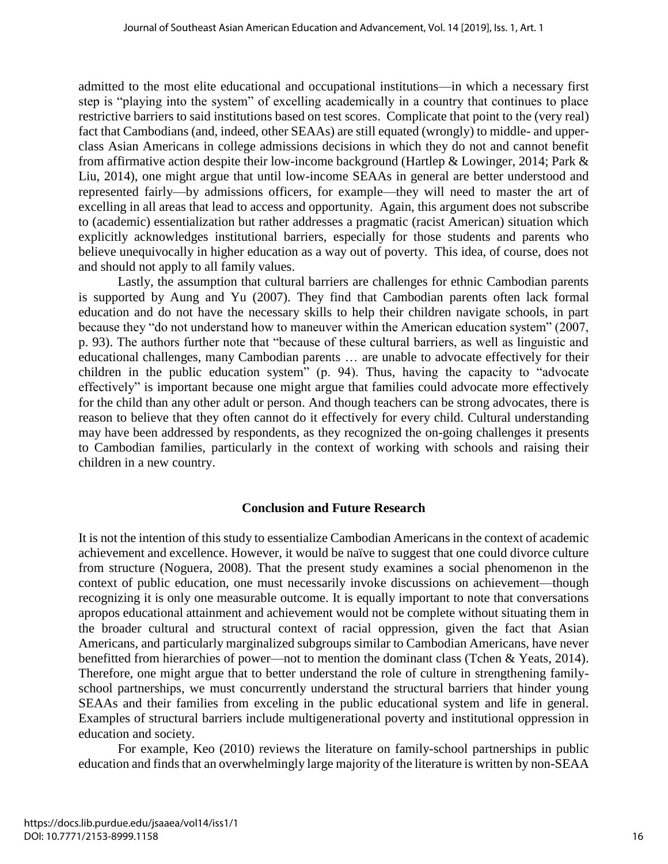admitted to the most elite educational and occupational institutions—in which a necessary first step is "playing into the system" of excelling academically in a country that continues to place restrictive barriers to said institutions based on test scores. Complicate that point to the (very real) fact that Cambodians (and, indeed, other SEAAs) are still equated (wrongly) to middle- and upperclass Asian Americans in college admissions decisions in which they do not and cannot benefit from affirmative action despite their low-income background (Hartlep & Lowinger, 2014; Park & Liu, 2014), one might argue that until low-income SEAAs in general are better understood and represented fairly—by admissions officers, for example—they will need to master the art of excelling in all areas that lead to access and opportunity. Again, this argument does not subscribe to (academic) essentialization but rather addresses a pragmatic (racist American) situation which explicitly acknowledges institutional barriers, especially for those students and parents who believe unequivocally in higher education as a way out of poverty. This idea, of course, does not and should not apply to all family values.

Lastly, the assumption that cultural barriers are challenges for ethnic Cambodian parents is supported by Aung and Yu (2007). They find that Cambodian parents often lack formal education and do not have the necessary skills to help their children navigate schools, in part because they "do not understand how to maneuver within the American education system" (2007, p. 93). The authors further note that "because of these cultural barriers, as well as linguistic and educational challenges, many Cambodian parents … are unable to advocate effectively for their children in the public education system" (p. 94). Thus, having the capacity to "advocate effectively" is important because one might argue that families could advocate more effectively for the child than any other adult or person. And though teachers can be strong advocates, there is reason to believe that they often cannot do it effectively for every child. Cultural understanding may have been addressed by respondents, as they recognized the on-going challenges it presents to Cambodian families, particularly in the context of working with schools and raising their children in a new country.

#### **Conclusion and Future Research**

It is not the intention of this study to essentialize Cambodian Americans in the context of academic achievement and excellence. However, it would be naïve to suggest that one could divorce culture from structure (Noguera, 2008). That the present study examines a social phenomenon in the context of public education, one must necessarily invoke discussions on achievement—though recognizing it is only one measurable outcome. It is equally important to note that conversations apropos educational attainment and achievement would not be complete without situating them in the broader cultural and structural context of racial oppression, given the fact that Asian Americans, and particularly marginalized subgroups similar to Cambodian Americans, have never benefitted from hierarchies of power—not to mention the dominant class (Tchen & Yeats, 2014). Therefore, one might argue that to better understand the role of culture in strengthening familyschool partnerships, we must concurrently understand the structural barriers that hinder young SEAAs and their families from exceling in the public educational system and life in general. Examples of structural barriers include multigenerational poverty and institutional oppression in education and society.

For example, Keo (2010) reviews the literature on family-school partnerships in public education and finds that an overwhelmingly large majority of the literature is written by non-SEAA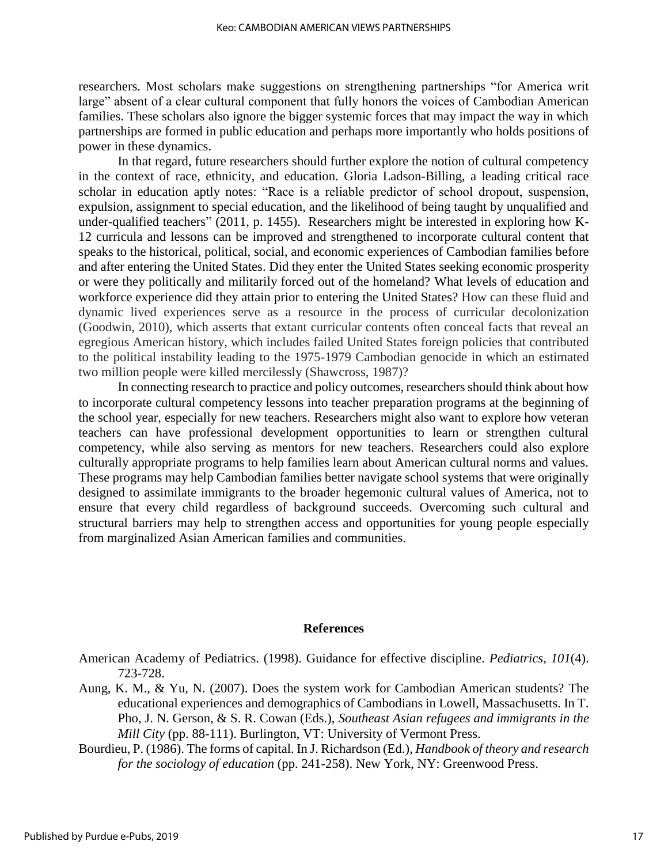researchers. Most scholars make suggestions on strengthening partnerships "for America writ large" absent of a clear cultural component that fully honors the voices of Cambodian American families. These scholars also ignore the bigger systemic forces that may impact the way in which partnerships are formed in public education and perhaps more importantly who holds positions of power in these dynamics.

In that regard, future researchers should further explore the notion of cultural competency in the context of race, ethnicity, and education. Gloria Ladson-Billing, a leading critical race scholar in education aptly notes: "Race is a reliable predictor of school dropout, suspension, expulsion, assignment to special education, and the likelihood of being taught by unqualified and under-qualified teachers" (2011, p. 1455). Researchers might be interested in exploring how K-12 curricula and lessons can be improved and strengthened to incorporate cultural content that speaks to the historical, political, social, and economic experiences of Cambodian families before and after entering the United States. Did they enter the United States seeking economic prosperity or were they politically and militarily forced out of the homeland? What levels of education and workforce experience did they attain prior to entering the United States? How can these fluid and dynamic lived experiences serve as a resource in the process of curricular decolonization (Goodwin, 2010), which asserts that extant curricular contents often conceal facts that reveal an egregious American history, which includes failed United States foreign policies that contributed to the political instability leading to the 1975-1979 Cambodian genocide in which an estimated two million people were killed mercilessly (Shawcross, 1987)?

In connecting research to practice and policy outcomes, researchers should think about how to incorporate cultural competency lessons into teacher preparation programs at the beginning of the school year, especially for new teachers. Researchers might also want to explore how veteran teachers can have professional development opportunities to learn or strengthen cultural competency, while also serving as mentors for new teachers. Researchers could also explore culturally appropriate programs to help families learn about American cultural norms and values. These programs may help Cambodian families better navigate school systems that were originally designed to assimilate immigrants to the broader hegemonic cultural values of America, not to ensure that every child regardless of background succeeds. Overcoming such cultural and structural barriers may help to strengthen access and opportunities for young people especially from marginalized Asian American families and communities.

#### **References**

American Academy of Pediatrics. (1998). Guidance for effective discipline. *Pediatrics*, *101*(4). 723-728.

- Aung, K. M., & Yu, N. (2007). Does the system work for Cambodian American students? The educational experiences and demographics of Cambodians in Lowell, Massachusetts. In T. Pho, J. N. Gerson, & S. R. Cowan (Eds.), *Southeast Asian refugees and immigrants in the Mill City* (pp. 88-111). Burlington, VT: University of Vermont Press.
- Bourdieu, P. (1986). The forms of capital. In J. Richardson (Ed.), *Handbook of theory and research for the sociology of education* (pp. 241-258). New York, NY: Greenwood Press.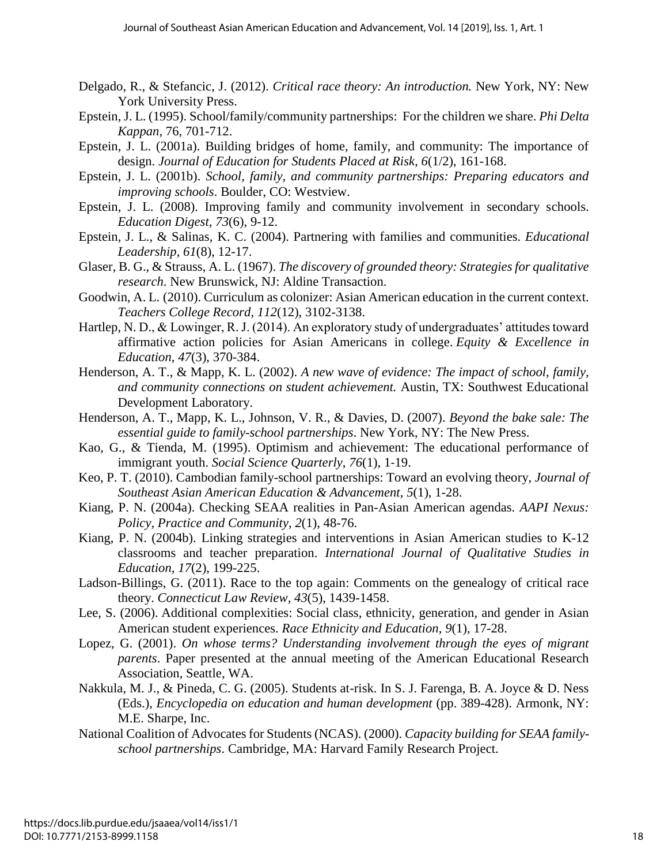- Delgado, R., & Stefancic, J. (2012). *Critical race theory: An introduction.* New York, NY: New York University Press.
- Epstein, J. L. (1995). School/family/community partnerships: For the children we share. *Phi Delta Kappan*, 76, 701-712.
- Epstein, J. L. (2001a). Building bridges of home, family, and community: The importance of design. *Journal of Education for Students Placed at Risk*, *6*(1/2), 161-168.
- Epstein, J. L. (2001b). *School, family, and community partnerships: Preparing educators and improving schools*. Boulder, CO: Westview.
- Epstein, J. L. (2008). Improving family and community involvement in secondary schools. *Education Digest*, *73*(6), 9-12.
- Epstein, J. L., & Salinas, K. C. (2004). Partnering with families and communities. *Educational Leadership*, *61*(8), 12-17.
- Glaser, B. G., & Strauss, A. L. (1967). *The discovery of grounded theory: Strategies for qualitative research*. New Brunswick, NJ: Aldine Transaction.
- Goodwin, A. L. (2010). Curriculum as colonizer: Asian American education in the current context. *Teachers College Record*, *112*(12), 3102-3138.
- Hartlep, N. D., & Lowinger, R. J. (2014). An exploratory study of undergraduates' attitudes toward affirmative action policies for Asian Americans in college. *Equity & Excellence in Education*, *47*(3), 370-384.
- Henderson, A. T., & Mapp, K. L. (2002). *A new wave of evidence: The impact of school, family, and community connections on student achievement.* Austin, TX: Southwest Educational Development Laboratory.
- Henderson, A. T., Mapp, K. L., Johnson, V. R., & Davies, D. (2007). *Beyond the bake sale: The essential guide to family-school partnerships*. New York, NY: The New Press.
- Kao, G., & Tienda, M. (1995). Optimism and achievement: The educational performance of immigrant youth. *Social Science Quarterly, 76*(1), 1-19.
- Keo, P. T. (2010). Cambodian family-school partnerships: Toward an evolving theory, *Journal of Southeast Asian American Education & Advancement*, *5*(1), 1-28.
- Kiang, P. N. (2004a). Checking SEAA realities in Pan-Asian American agendas. *AAPI Nexus: Policy, Practice and Community*, *2*(1), 48-76.
- Kiang, P. N. (2004b). Linking strategies and interventions in Asian American studies to K-12 classrooms and teacher preparation. *International Journal of Qualitative Studies in Education*, *17*(2), 199-225.
- Ladson-Billings, G. (2011). Race to the top again: Comments on the genealogy of critical race theory. *Connecticut Law Review, 43*(5), 1439-1458.
- Lee, S. (2006). Additional complexities: Social class, ethnicity, generation, and gender in Asian American student experiences. *Race Ethnicity and Education*, *9*(1), 17-28.
- Lopez, G. (2001). *On whose terms? Understanding involvement through the eyes of migrant parents*. Paper presented at the annual meeting of the American Educational Research Association, Seattle, WA.
- Nakkula, M. J., & Pineda, C. G. (2005). Students at-risk. In S. J. Farenga, B. A. Joyce & D. Ness (Eds.), *Encyclopedia on education and human development* (pp. 389-428). Armonk, NY: M.E. Sharpe, Inc.
- National Coalition of Advocates for Students (NCAS). (2000). *Capacity building for SEAA familyschool partnerships*. Cambridge, MA: Harvard Family Research Project.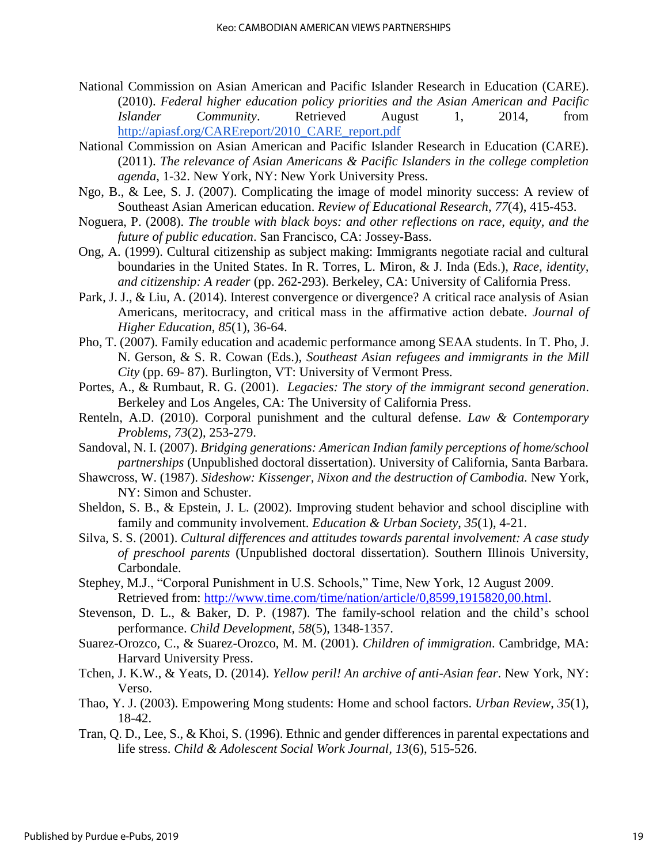- National Commission on Asian American and Pacific Islander Research in Education (CARE). (2010). *Federal higher education policy priorities and the Asian American and Pacific Islander Community*. Retrieved August 1, 2014, from [http://apiasf.org/CAREreport/2010\\_CARE\\_report.pdf](http://apiasf.org/CAREreport/2010_CARE_report.pdf)
- National Commission on Asian American and Pacific Islander Research in Education (CARE). (2011). *The relevance of Asian Americans & Pacific Islanders in the college completion agenda*, 1-32. New York, NY: New York University Press.
- Ngo, B., & Lee, S. J. (2007). Complicating the image of model minority success: A review of Southeast Asian American education. *Review of Educational Research*, *77*(4), 415-453.
- Noguera, P. (2008). *The trouble with black boys: and other reflections on race, equity, and the future of public education*. San Francisco, CA: Jossey-Bass.
- Ong, A. (1999). Cultural citizenship as subject making: Immigrants negotiate racial and cultural boundaries in the United States. In R. Torres, L. Miron, & J. Inda (Eds.), *Race, identity, and citizenship: A reader* (pp. 262-293). Berkeley, CA: University of California Press.
- Park, J. J., & Liu, A. (2014). Interest convergence or divergence? A critical race analysis of Asian Americans, meritocracy, and critical mass in the affirmative action debate. *Journal of Higher Education*, *85*(1), 36-64.
- Pho, T. (2007). Family education and academic performance among SEAA students. In T. Pho, J. N. Gerson, & S. R. Cowan (Eds.), *Southeast Asian refugees and immigrants in the Mill City* (pp. 69- 87). Burlington, VT: University of Vermont Press.
- Portes, A., & Rumbaut, R. G. (2001). *Legacies: The story of the immigrant second generation*. Berkeley and Los Angeles, CA: The University of California Press.
- Renteln, A.D. (2010). Corporal punishment and the cultural defense. *Law & Contemporary Problems*, *73*(2), 253-279.
- Sandoval, N. I. (2007). *Bridging generations: American Indian family perceptions of home/school partnerships* (Unpublished doctoral dissertation). University of California, Santa Barbara.
- Shawcross, W. (1987). *Sideshow: Kissenger, Nixon and the destruction of Cambodia.* New York, NY: Simon and Schuster.
- Sheldon, S. B., & Epstein, J. L. (2002). Improving student behavior and school discipline with family and community involvement. *Education & Urban Society*, *35*(1), 4-21.
- Silva, S. S. (2001). *Cultural differences and attitudes towards parental involvement: A case study of preschool parents* (Unpublished doctoral dissertation). Southern Illinois University, Carbondale.
- Stephey, M.J., "Corporal Punishment in U.S. Schools," Time, New York, 12 August 2009. Retrieved from: [http://www.time.com/time/nation/article/0,8599,1915820,00.html.](http://www.time.com/time/nation/article/0,8599,1915820,00.html)
- Stevenson, D. L., & Baker, D. P. (1987). The family-school relation and the child's school performance. *Child Development, 58*(5), 1348-1357.
- Suarez-Orozco, C., & Suarez-Orozco, M. M. (2001). *Children of immigration*. Cambridge, MA: Harvard University Press.
- Tchen, J. K.W., & Yeats, D. (2014). *Yellow peril! An archive of anti-Asian fear*. New York, NY: Verso.
- Thao, Y. J. (2003). Empowering Mong students: Home and school factors. *Urban Review*, *35*(1), 18-42.
- Tran, Q. D., Lee, S., & Khoi, S. (1996). Ethnic and gender differences in parental expectations and life stress. *Child & Adolescent Social Work Journal, 13*(6), 515-526.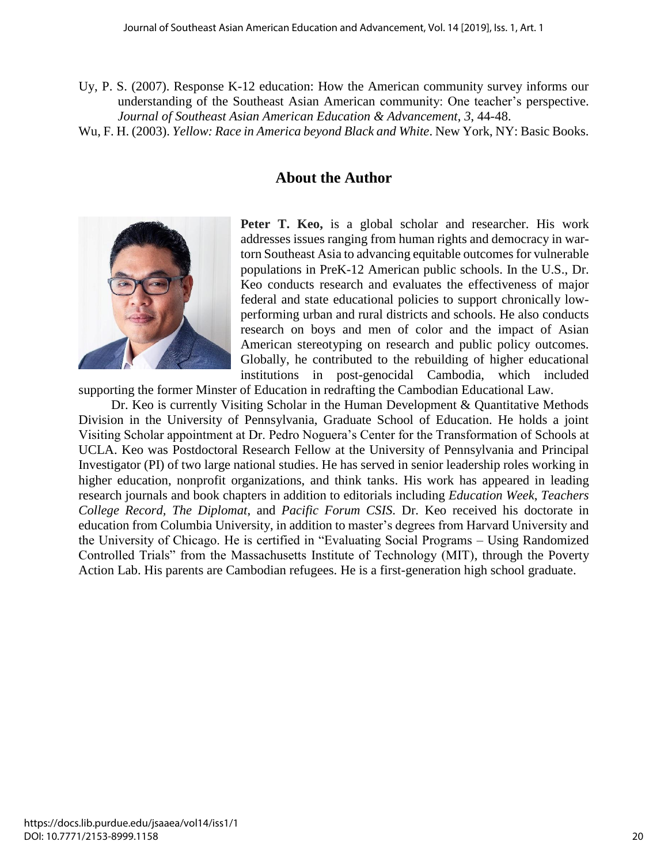- Uy, P. S. (2007). Response K-12 education: How the American community survey informs our understanding of the Southeast Asian American community: One teacher's perspective. *Journal of Southeast Asian American Education & Advancement*, *3*, 44-48.
- Wu, F. H. (2003). *Yellow: Race in America beyond Black and White*. New York, NY: Basic Books.

### **About the Author**



**Peter T. Keo,** is a global scholar and researcher. His work addresses issues ranging from human rights and democracy in wartorn Southeast Asia to advancing equitable outcomes for vulnerable populations in PreK-12 American public schools. In the U.S., Dr. Keo conducts research and evaluates the effectiveness of major federal and state educational policies to support chronically lowperforming urban and rural districts and schools. He also conducts research on boys and men of color and the impact of Asian American stereotyping on research and public policy outcomes. Globally, he contributed to the rebuilding of higher educational institutions in post-genocidal Cambodia, which included

supporting the former Minster of Education in redrafting the Cambodian Educational Law.

 Dr. Keo is currently Visiting Scholar in the Human Development & Quantitative Methods Division in the University of Pennsylvania, Graduate School of Education. He holds a joint Visiting Scholar appointment at Dr. Pedro Noguera's Center for the Transformation of Schools at UCLA. Keo was Postdoctoral Research Fellow at the University of Pennsylvania and Principal Investigator (PI) of two large national studies. He has served in senior leadership roles working in higher education, nonprofit organizations, and think tanks. His work has appeared in leading research journals and book chapters in addition to editorials including *Education Week*, *Teachers College Record, The Diplomat*, and *Pacific Forum CSIS*. Dr. Keo received his doctorate in education from Columbia University, in addition to master's degrees from Harvard University and the University of Chicago. He is certified in "Evaluating Social Programs – Using Randomized Controlled Trials" from the Massachusetts Institute of Technology (MIT), through the Poverty Action Lab. His parents are Cambodian refugees. He is a first-generation high school graduate.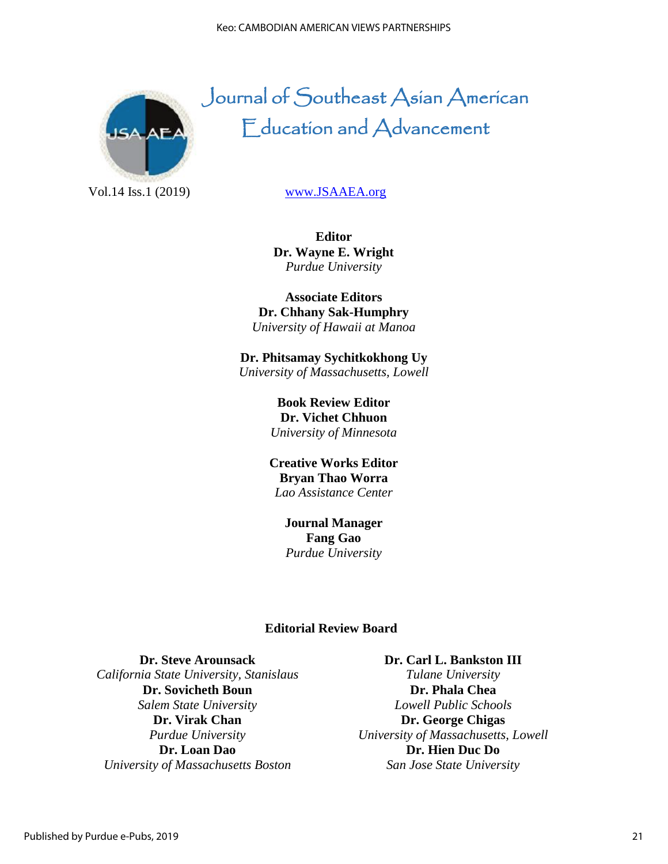

# Journal of Southeast Asian American Education and Advancement

Vol.14 Iss.1 (2019) [www.JSAAEA.org](http://www.jsaaea.org/)

**Editor Dr. Wayne E. Wright** *Purdue University*

**Associate Editors Dr. Chhany Sak-Humphry** *University of Hawaii at Manoa*

**Dr. Phitsamay Sychitkokhong Uy** *University of Massachusetts, Lowell*

> **Book Review Editor Dr. Vichet Chhuon** *University of Minnesota*

**Creative Works Editor Bryan Thao Worra** *Lao Assistance Center*

> **Journal Manager Fang Gao** *Purdue University*

#### **Editorial Review Board**

**Dr. Steve Arounsack** *California State University, Stanislaus* **Dr. Sovicheth Boun** *Salem State University* **Dr. Virak Chan** *Purdue University* **Dr. Loan Dao** *University of Massachusetts Boston*

**Dr. Carl L. Bankston III** *Tulane University* **Dr. Phala Chea** *Lowell Public Schools* **Dr. George Chigas** *University of Massachusetts, Lowell* **Dr. Hien Duc Do** *San Jose State University*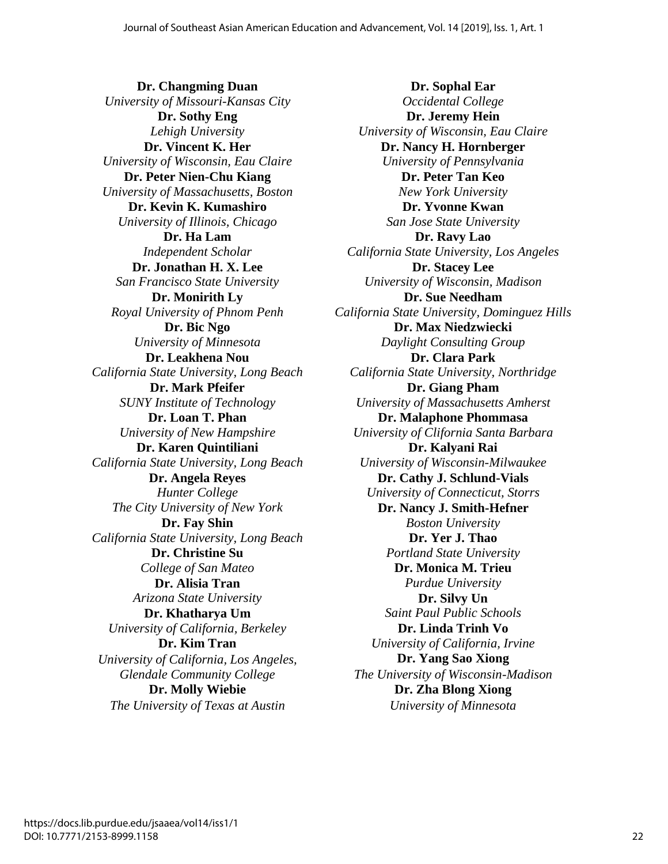**Dr. Changming Duan** *University of Missouri-Kansas City* **Dr. Sothy Eng** *Lehigh University* **Dr. Vincent K. Her** *University of Wisconsin, Eau Claire* **Dr. Peter Nien-Chu Kiang** *University of Massachusetts, Boston* **Dr. Kevin K. Kumashiro** *University of Illinois, Chicago* **Dr. Ha Lam** *Independent Scholar* **Dr. Jonathan H. X. Lee** *San Francisco State University* **Dr. Monirith Ly** *Royal University of Phnom Penh* **Dr. Bic Ngo** *University of Minnesota* **Dr. Leakhena Nou** *California State University, Long Beach* **Dr. Mark Pfeifer** *SUNY Institute of Technology* **Dr. Loan T. Phan** *University of New Hampshire* **Dr. Karen Quintiliani** *California State University, Long Beach* **Dr. Angela Reyes** *Hunter College The City University of New York*  **Dr. Fay Shin** *California State University, Long Beach* **Dr. Christine Su** *College of San Mateo* **Dr. Alisia Tran** *Arizona State University* **Dr. Khatharya Um** *University of California, Berkeley* **Dr. Kim Tran** *University of California, Los Angeles, Glendale Community College* **Dr. Molly Wiebie** *The University of Texas at Austin*

**Dr. Sophal Ear** *Occidental College* **Dr. Jeremy Hein** *University of Wisconsin, Eau Claire* **Dr. Nancy H. Hornberger** *University of Pennsylvania* **Dr. Peter Tan Keo** *New York University* **Dr. Yvonne Kwan** *San Jose State University* **Dr. Ravy Lao** *California State University, Los Angeles* **Dr. Stacey Lee** *University of Wisconsin, Madison* **Dr. Sue Needham** *California State University, Dominguez Hills* **Dr. Max Niedzwiecki** *Daylight Consulting Group* **Dr. Clara Park** *California State University, Northridge* **Dr. Giang Pham** *University of Massachusetts Amherst* **Dr. Malaphone Phommasa** *University of Clifornia Santa Barbara* **Dr. Kalyani Rai** *University of Wisconsin-Milwaukee* **Dr. Cathy J. Schlund-Vials** *University of Connecticut, Storrs* **Dr. Nancy J. Smith-Hefner** *Boston University* **Dr. Yer J. Thao** *Portland State University* **Dr. Monica M. Trieu** *Purdue University* **Dr. Silvy Un** *Saint Paul Public Schools* **Dr. Linda Trinh Vo** *University of California, Irvine* **Dr. Yang Sao Xiong** *The University of Wisconsin-Madison* **Dr. Zha Blong Xiong** *University of Minnesota*